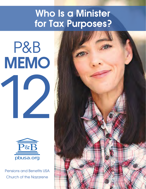# Who Is a Minister for Tax Purposes?

P&B MEMO 12



Pensions and Benefits USA Church of the Nazarene

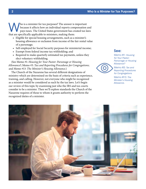Who is a minister for tax purposes? The answer is important<br>because it affects how an individual reports compensation a<br>pays taxes. The United States government has created tax la because it affects how an individual reports compensation and pays taxes. The United States government has created tax laws that are specifically applicable to ministers, making them:

- Eligible for special housing arrangements, such as a minister's housing allowance or exclusion from income of the fair rental value of a parsonage;
- Self-employed for Social Security purposes for ministerial income;
- Exempt from federal income tax withholding; and
- Required to make quarterly estimated tax payments, unless they elect voluntary withholding.

(See Memo #1: *Housing for Your Pastor: Parsonage or Housing Allowance?*; Memo #3: *Tax and Reporting Procedures for Congregations*; and Memo #13: *The Minister's Housing Allowance*.)

The Church of the Nazarene has several different designations of ministry which are determined on the basis of criteria such as experience, training, and calling. However, not everyone who might be recognized as a minister would be considered as such by the tax laws. Let's begin our review of this topic by examining just who the IRS and tax courts consider to be a minister. Then we'll explore standards the Church of the Nazarene requires of those to whom it grants authority to perform the recognized duties of a minister.

### See:

Memo #1: *Housing for Your Pastor: Parsonage or Housing Allowance?*



Memo #3: *Tax and Reporting Procedures for Congregations*

Memo #13: *The Minister's Housing Allowance.*

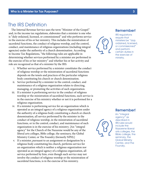### The IRS Definition

The Internal Revenue Service uses the term "Minister of the Gospel" and, in the income tax regulations, elaborates that a minister is one who is "duly ordained, licensed, or commissioned" and who performs service in the exercise of his or her ministry. This includes the ministration of sacerdotal functions, the conduct of religious worship, and the control, conduct, and maintenance of religious organizations (including integral agencies) under the authority of a church denomination. According to Income Tax Regulations, "the following rules are applicable in determining whether services performed by a minister are performed in the exercise of his or her ministry" and whether his or her activity and role are recognized as that of a minister by the IRS:

- i. Whether service performed by a minister constitutes the conduct of religious worship or the ministration of sacerdotal functions depends on the tenets and practices of the particular religious body constituting his church or church denomination.
- ii. Service performed by a minister in the control, conduct, and maintenance of a religious organization relates to directing, managing, or promoting the activities of such organization.
- iii. If a minister is performing service in the conduct of religious worship or the ministration of sacerdotal functions, such service is in the exercise of his ministry whether or not it is performed for a religious organization.
- iv. If a minister is performing service for an organization which is operated as an integral agency of a religious organization under the authority of a religious body constituting a church or church denomination, all service performed by the minister in the conduct of religious worship, in the ministration of sacerdotal functions, or in the control, conduct, and maintenance of such organization is in the exercise of his ministry. [An "integral agency" for the Church of the Nazarene would be any of the liberal arts colleges, Bible college, the seminary, the Global Ministry Center, or The Foundry (formerly NPH).]
- v. If a minister, pursuant to an assignment or designation by a religious body constituting his church, performs service for an organization which is neither a religious organization nor operated as an integral agency of a religious organization, all service performed by him, even though such service may not involve the conduct of religious worship or the ministration of sacerdotal functions, is in the exercise of his ministry.

#### Remember!



IRS regulations require that ministers be "duly ordained, licensed, or commissioned" and perform certain duties in the exercise of ministry.

#### Remember!

An "integral agency" as described in IRS rules would include the Nazarene liberal arts colleges, the Bible college, the seminary, the Global Ministry Center, and The Foundry.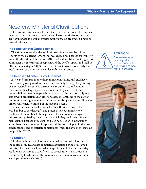# Nazarene Ministerial Classifications

The various classifications by the Church of the Nazarene about which questions are raised are discussed below. These descriptive summaries are not intended to be final, official definitions, but are offered simply as general information.

#### The Local Minister (Local License)

The *Manual* states that the local minister "is a lay member of the Church of the Nazarene" whom the local church has licensed for ministry under the direction of the pastor (531). The local minister is not eligible to administer the sacraments of baptism and the Lord's Supper, and shall not officiate at marriages (531.7). Therefore, it is not possible to identify the local minister as a ministerial employee for tax purposes.

#### The Licensed Minister (District License)

A licensed minister is one whose ministerial calling and gifts have been formally recognized by the district assembly through the granting of a ministerial license. The district license authorizes and appoints the minister to a larger sphere of service and to greater rights and responsibilities than those pertaining to a local minister, normally as a step toward ordination as an elder or a deacon. Granting of the district license acknowledges a call to a lifetime of ministry and the fulfillment of other requirements outlined in the *Manual* (532ff).

Licensed ministers shall be vested with authority to preach the Word and/or to use their gifts and graces in various ministries to the Body of Christ. In addition, provided they serve in an assigned ministry recognized by the district on which they hold their ministerial membership, licensed ministers shall also be vested with authority to administer the sacraments of baptism and the Lord's Supper in their own congregations, and to officiate at marriages where the laws of the state do not prohibit (532.7).

#### The Deacon

The deacon is one who has been ordained to that order, has completed the course of study, and has completed a specified period of assigned ministry. The deacon acknowledges a specific call to lifetime ministry, yet does not witness to a specific call to preach (533.1). The deacon has the authority to administer the sacraments and, on occasion, to conduct worship and to preach (533.2).



#### Caution!

The minister who has only a local license does not qualify as a minister for tax purposes.

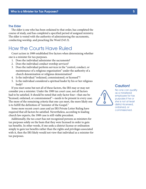#### The Elder

The elder is one who has been ordained to that order, has completed the course of study, and has completed a specified period of assigned ministry. The elder is vested with the authority of administering the sacraments, conducting worship, and preaching the Word (543.3).

### How the Courts Have Ruled

Court action in 1989 established five factors when determining whether one is a minister for tax purposes.

- 1. Does the individual administer the sacraments?
- 2. Does the individual conduct worship services?
- 3. Does the individual perform services in the "control, conduct, or maintenance of a religious organization" under the authority of a church denomination or religious denomination?
- 4. Is the individual "ordained, commissioned, or licensed"?
- 5. Is the individual considered a spiritual leader by his or her religious body?

If you meet some but not all of these factors, the IRS may or may not consider you a minister. Under the 1989 tax court case, not all factors had to be satisfied. It should be noted that only factor four—that one be "licensed, ordained, or commissioned"—needs to be present in every case. The more of the remaining criteria that one can meet, the more likely one is to fulfill the definition of "minister of the Gospel."

Some more recent court cases and an IRS Private Letter Ruling have required that all factors be satisfied. Nevertheless, according to leading church law experts, the 1989 case is still viable precedent.

Additionally, the tax court has not recognized persons as ministers for tax purposes solely on the basis that they were licensed in order to gain tax benefits. In other words, if one seeks a district license or ordination simply to gain tax benefits rather than the rights and privileges associated with it, then the IRS likely would not view that individual as a minister for tax purposes.

Caution! No one can qualify as a ministerial employee for tax purposes if he or she is not at least district-licensed, ordained, or

commissioned.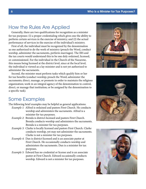# How the Rules Are Applied

Generally, there are two qualifications for recognition as a minister for tax purposes: (1) a proper credentialing which gives one the ability to perform certain services in the exercise of ministry; and (2) the actual performance of services in the exercise of the individual's ministry.

First of all, the individual must be recognized by the denomination as one authorized to do the work of ministry (preach the Word, conduct worship, administer the sacraments, perform marriages). The IRS and the tax courts would understand this to be one duly ordained, licensed, or commissioned. For the individual in the Church of the Nazarene, this means being licensed at the district level, since at the local level, the individual is viewed as a lay minister and is not yet authorized to administer the sacraments.

Second, the minister must perform tasks which qualify him or her for tax benefits (conduct worship; preach the Word; administer the sacraments; direct, manage, or promote in order to maintain the religious organization; work in an integral agency of the denomination to control, direct, or manage that institution; or be assigned by the denomination to a specific task).

### Some Examples

The following brief examples may be helpful as general applications:

- *Example 1:* Alfred is ordained and pastors First Church. He conducts worship and administers the sacraments. Alfred is a minister for tax purposes.
- *Example 2:* Brenda is district-licensed and pastors First Church. Brenda conducts worship and administers the sacraments. Brenda is a minister for tax purposes.
- *Example 3:* Clarke is locally licensed and pastors First Church. Clarke conducts worship, yet may not administer the sacraments. Clarke is not a minister for tax purposes.
- *Example 4:* Dan is district-licensed and is an associate pastor at First Church. He occasionally conducts worship and administers the sacraments. Dan is a minister for tax purposes.
- *Example 5:* Edward has no credential or license and is an associate pastor at First Church. Edward occasionally conducts worship. Edward is not a minister for tax purposes.





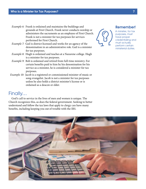- *Example 6:* Frank is ordained and maintains the buildings and grounds at First Church. Frank never conducts worship or administers the sacraments as an employee of First Church. Frank is not a minister for tax purposes for services performed for First Church.
- *Example 7:* Gail is district-licensed and works for an agency of the denomination in an administrative role. Gail is a minister for tax purposes.
- *Example 8:* Hugh is ordained and teaches at a Nazarene college. Hugh is a minister for tax purposes.
- *Example 9:* Bob is ordained and retired from full-time ministry. For certain benefits paid to him by his denomination for his service as a minister, he is considered a minister for tax purposes.
- *Example 10:* Jacob is a registered or commissioned minister of music or song evangelist. Jacob is not a minister for tax purposes unless he also holds a district minister's license or is ordained as a deacon or elder.

### Finally…

God's call to service in the lives of men and women is unique. The Church recognizes this, as does the federal government. Seeking to better understand and follow the tax laws that apply to clergy can have many benefits, including keeping you out of trouble with the IRS.



### Remember!

A minister, for tax purposes, must have proper credentialing and must actually perform certain ministerial duties.